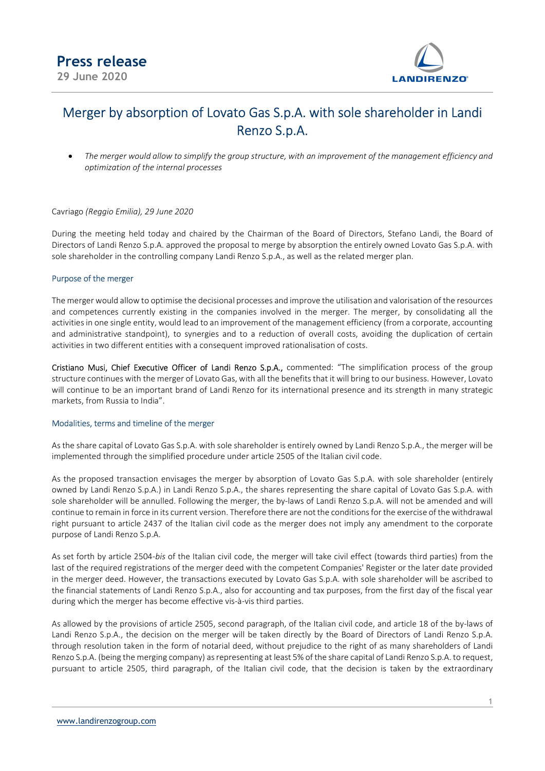

# Merger by absorption of Lovato Gas S.p.A. with sole shareholder in Landi Renzo S.p.A.

 The merger would allow to simplify the group structure, with an improvement of the management efficiency and optimization of the internal processes

# Cavriago (Reggio Emilia), 29 June 2020

During the meeting held today and chaired by the Chairman of the Board of Directors, Stefano Landi, the Board of Directors of Landi Renzo S.p.A. approved the proposal to merge by absorption the entirely owned Lovato Gas S.p.A. with sole shareholder in the controlling company Landi Renzo S.p.A., as well as the related merger plan.

# Purpose of the merger

The merger would allow to optimise the decisional processes and improve the utilisation and valorisation of the resources and competences currently existing in the companies involved in the merger. The merger, by consolidating all the activities in one single entity, would lead to an improvement of the management efficiency (from a corporate, accounting and administrative standpoint), to synergies and to a reduction of overall costs, avoiding the duplication of certain activities in two different entities with a consequent improved rationalisation of costs.

Cristiano Musi, Chief Executive Officer of Landi Renzo S.p.A., commented: "The simplification process of the group structure continues with the merger of Lovato Gas, with all the benefits that it will bring to our business. However, Lovato will continue to be an important brand of Landi Renzo for its international presence and its strength in many strategic markets, from Russia to India".

# Modalities, terms and timeline of the merger

As the share capital of Lovato Gas S.p.A. with sole shareholder is entirely owned by Landi Renzo S.p.A., the merger will be implemented through the simplified procedure under article 2505 of the Italian civil code.

As the proposed transaction envisages the merger by absorption of Lovato Gas S.p.A. with sole shareholder (entirely owned by Landi Renzo S.p.A.) in Landi Renzo S.p.A., the shares representing the share capital of Lovato Gas S.p.A. with sole shareholder will be annulled. Following the merger, the by-laws of Landi Renzo S.p.A. will not be amended and will continue to remain in force in its current version. Therefore there are not the conditions for the exercise of the withdrawal right pursuant to article 2437 of the Italian civil code as the merger does not imply any amendment to the corporate purpose of Landi Renzo S.p.A.

As set forth by article 2504-bis of the Italian civil code, the merger will take civil effect (towards third parties) from the last of the required registrations of the merger deed with the competent Companies' Register or the later date provided in the merger deed. However, the transactions executed by Lovato Gas S.p.A. with sole shareholder will be ascribed to the financial statements of Landi Renzo S.p.A., also for accounting and tax purposes, from the first day of the fiscal year during which the merger has become effective vis-à-vis third parties.

As allowed by the provisions of article 2505, second paragraph, of the Italian civil code, and article 18 of the by-laws of Landi Renzo S.p.A., the decision on the merger will be taken directly by the Board of Directors of Landi Renzo S.p.A. through resolution taken in the form of notarial deed, without prejudice to the right of as many shareholders of Landi Renzo S.p.A. (being the merging company) as representing at least 5% of the share capital of Landi Renzo S.p.A. to request, pursuant to article 2505, third paragraph, of the Italian civil code, that the decision is taken by the extraordinary